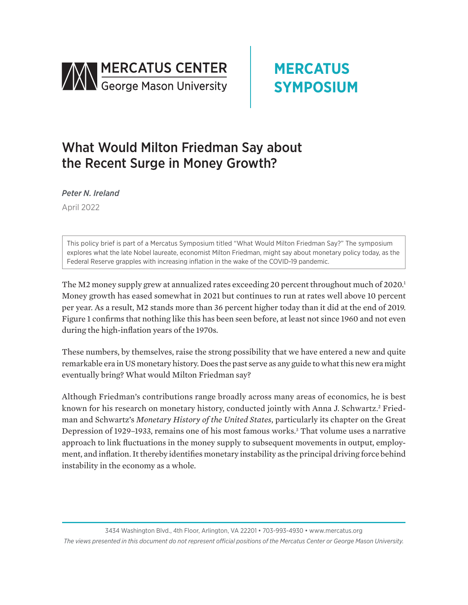



# What Would Milton Friedman Say about the Recent Surge in Money Growth?

*Peter N. Ireland*

April 2022

This policy brief is part of a Mercatus Symposium titled "What Would Milton Friedman Say?" The symposium explores what the late Nobel laureate, economist Milton Friedman, might say about monetary policy today, as the Federal Reserve grapples with increasing inflation in the wake of the COVID-19 pandemic.

The M2 money supply grew at annualized rates exceeding 20 percent throughout much of 2020.<sup>1</sup> Money growth has eased somewhat in 2021 but continues to run at rates well above 10 percent per year. As a result, M2 stands more than 36 percent higher today than it did at the end of 2019. Figure 1 confirms that nothing like this has been seen before, at least not since 1960 and not even during the high-inflation years of the 1970s.

These numbers, by themselves, raise the strong possibility that we have entered a new and quite remarkable era in US monetary history. Does the past serve as any guide to what this new era might eventually bring? What would Milton Friedman say?

Although Friedman's contributions range broadly across many areas of economics, he is best known for his research on monetary history, conducted jointly with Anna J. Schwartz.<sup>2</sup> Friedman and Schwartz's *Monetary History of the United States*, particularly its chapter on the Great Depression of 1929–1933, remains one of his most famous works.<sup>3</sup> That volume uses a narrative approach to link fluctuations in the money supply to subsequent movements in output, employment, and inflation. It thereby identifies monetary instability as the principal driving force behind instability in the economy as a whole.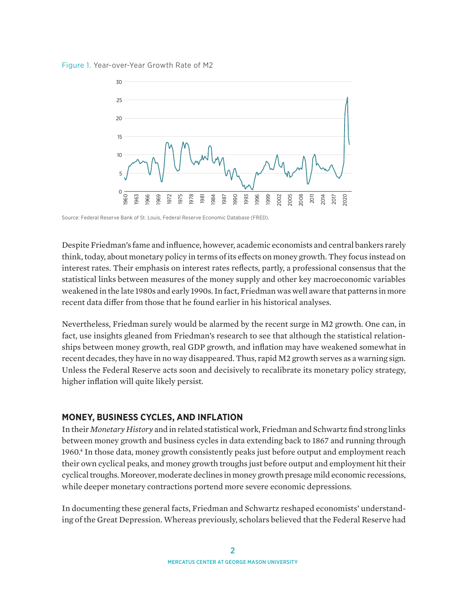



Source: Federal Reserve Bank of St. Louis, Federal Reserve Economic Database (FRED).

Despite Friedman's fame and influence, however, academic economists and central bankers rarely think, today, about monetary policy in terms of its effects on money growth. They focus instead on interest rates. Their emphasis on interest rates reflects, partly, a professional consensus that the statistical links between measures of the money supply and other key macroeconomic variables weakened in the late 1980s and early 1990s. In fact, Friedman was well aware that patterns in more recent data differ from those that he found earlier in his historical analyses.

Nevertheless, Friedman surely would be alarmed by the recent surge in M2 growth. One can, in fact, use insights gleaned from Friedman's research to see that although the statistical relationships between money growth, real GDP growth, and inflation may have weakened somewhat in recent decades, they have in no way disappeared. Thus, rapid M2 growth serves as a warning sign. Unless the Federal Reserve acts soon and decisively to recalibrate its monetary policy strategy, higher inflation will quite likely persist.

#### **MONEY, BUSINESS CYCLES, AND INFLATION**

In their *Monetary History* and in related statistical work, Friedman and Schwartz find strong links between money growth and business cycles in data extending back to 1867 and running through 1960.4 In those data, money growth consistently peaks just before output and employment reach their own cyclical peaks, and money growth troughs just before output and employment hit their cyclical troughs. Moreover, moderate declines in money growth presage mild economic recessions, while deeper monetary contractions portend more severe economic depressions.

In documenting these general facts, Friedman and Schwartz reshaped economists' understanding of the Great Depression. Whereas previously, scholars believed that the Federal Reserve had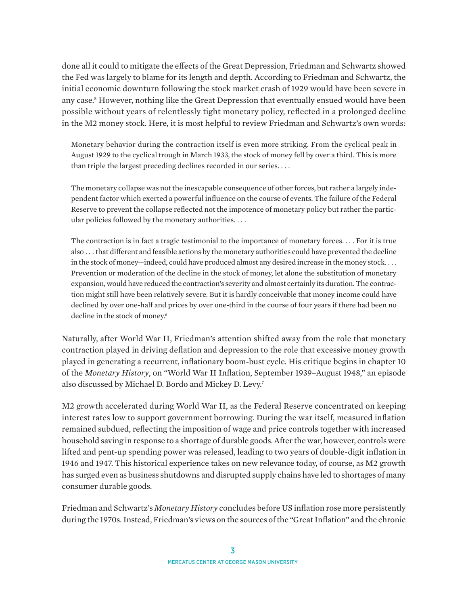done all it could to mitigate the effects of the Great Depression, Friedman and Schwartz showed the Fed was largely to blame for its length and depth. According to Friedman and Schwartz, the initial economic downturn following the stock market crash of 1929 would have been severe in any case.<sup>5</sup> However, nothing like the Great Depression that eventually ensued would have been possible without years of relentlessly tight monetary policy, reflected in a prolonged decline in the M2 money stock. Here, it is most helpful to review Friedman and Schwartz's own words:

Monetary behavior during the contraction itself is even more striking. From the cyclical peak in August 1929 to the cyclical trough in March 1933, the stock of money fell by over a third. This is more than triple the largest preceding declines recorded in our series. . . .

The monetary collapse was not the inescapable consequence of other forces, but rather a largely independent factor which exerted a powerful influence on the course of events. The failure of the Federal Reserve to prevent the collapse reflected not the impotence of monetary policy but rather the particular policies followed by the monetary authorities. . . .

The contraction is in fact a tragic testimonial to the importance of monetary forces. . . . For it is true also . . . that different and feasible actions by the monetary authorities could have prevented the decline in the stock of money—indeed, could have produced almost any desired increase in the money stock. . . . Prevention or moderation of the decline in the stock of money, let alone the substitution of monetary expansion, would have reduced the contraction's severity and almost certainly its duration. The contraction might still have been relatively severe. But it is hardly conceivable that money income could have declined by over one-half and prices by over one-third in the course of four years if there had been no decline in the stock of money.<sup>6</sup>

Naturally, after World War II, Friedman's attention shifted away from the role that monetary contraction played in driving deflation and depression to the role that excessive money growth played in generating a recurrent, inflationary boom-bust cycle. His critique begins in chapter 10 of the *Monetary History*, on "World War II Inflation, September 1939–August 1948," an episode also discussed by Michael D. Bordo and Mickey D. Levy.7

M2 growth accelerated during World War II, as the Federal Reserve concentrated on keeping interest rates low to support government borrowing. During the war itself, measured inflation remained subdued, reflecting the imposition of wage and price controls together with increased household saving in response to a shortage of durable goods. After the war, however, controls were lifted and pent-up spending power was released, leading to two years of double-digit inflation in 1946 and 1947. This historical experience takes on new relevance today, of course, as M2 growth has surged even as business shutdowns and disrupted supply chains have led to shortages of many consumer durable goods.

Friedman and Schwartz's *Monetary History* concludes before US inflation rose more persistently during the 1970s. Instead, Friedman's views on the sources of the "Great Inflation" and the chronic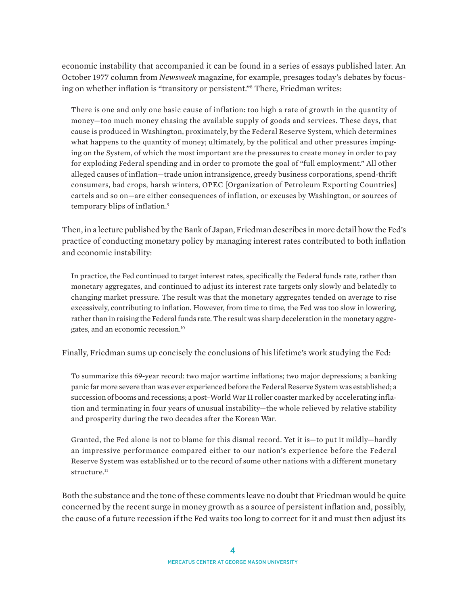economic instability that accompanied it can be found in a series of essays published later. An October 1977 column from *Newsweek* magazine, for example, presages today's debates by focusing on whether inflation is "transitory or persistent."8 There, Friedman writes:

There is one and only one basic cause of inflation: too high a rate of growth in the quantity of money—too much money chasing the available supply of goods and services. These days, that cause is produced in Washington, proximately, by the Federal Reserve System, which determines what happens to the quantity of money; ultimately, by the political and other pressures impinging on the System, of which the most important are the pressures to create money in order to pay for exploding Federal spending and in order to promote the goal of "full employment." All other alleged causes of inflation—trade union intransigence, greedy business corporations, spend-thrift consumers, bad crops, harsh winters, OPEC [Organization of Petroleum Exporting Countries] cartels and so on—are either consequences of inflation, or excuses by Washington, or sources of temporary blips of inflation.<sup>9</sup>

Then, in a lecture published by the Bank of Japan, Friedman describes in more detail how the Fed's practice of conducting monetary policy by managing interest rates contributed to both inflation and economic instability:

In practice, the Fed continued to target interest rates, specifically the Federal funds rate, rather than monetary aggregates, and continued to adjust its interest rate targets only slowly and belatedly to changing market pressure. The result was that the monetary aggregates tended on average to rise excessively, contributing to inflation. However, from time to time, the Fed was too slow in lowering, rather than in raising the Federal funds rate. The result was sharp deceleration in the monetary aggregates, and an economic recession.10

Finally, Friedman sums up concisely the conclusions of his lifetime's work studying the Fed:

To summarize this 69-year record: two major wartime inflations; two major depressions; a banking panic far more severe than was ever experienced before the Federal Reserve System was established; a succession of booms and recessions; a post–World War II roller coaster marked by accelerating inflation and terminating in four years of unusual instability—the whole relieved by relative stability and prosperity during the two decades after the Korean War.

Granted, the Fed alone is not to blame for this dismal record. Yet it is—to put it mildly—hardly an impressive performance compared either to our nation's experience before the Federal Reserve System was established or to the record of some other nations with a different monetary structure.<sup>11</sup>

Both the substance and the tone of these comments leave no doubt that Friedman would be quite concerned by the recent surge in money growth as a source of persistent inflation and, possibly, the cause of a future recession if the Fed waits too long to correct for it and must then adjust its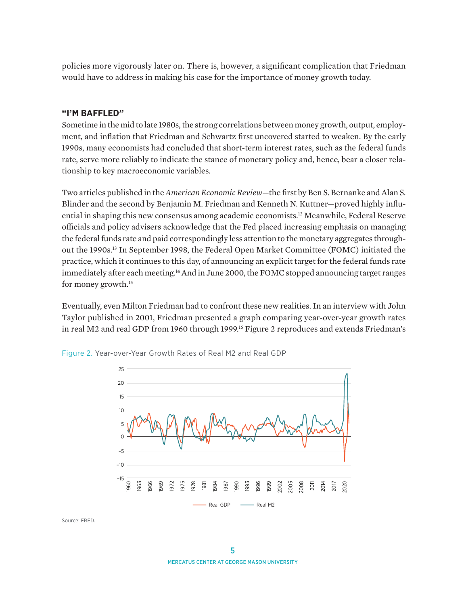policies more vigorously later on. There is, however, a significant complication that Friedman would have to address in making his case for the importance of money growth today.

### **"I'M BAFFLED"**

Sometime in the mid to late 1980s, the strong correlations between money growth, output, employment, and inflation that Friedman and Schwartz first uncovered started to weaken. By the early 1990s, many economists had concluded that short-term interest rates, such as the federal funds rate, serve more reliably to indicate the stance of monetary policy and, hence, bear a closer relationship to key macroeconomic variables.

Two articles published in the *American Economic Review*—the first by Ben S. Bernanke and Alan S. Blinder and the second by Benjamin M. Friedman and Kenneth N. Kuttner—proved highly influential in shaping this new consensus among academic economists.12 Meanwhile, Federal Reserve officials and policy advisers acknowledge that the Fed placed increasing emphasis on managing the federal funds rate and paid correspondingly less attention to the monetary aggregates throughout the 1990s.13 In September 1998, the Federal Open Market Committee (FOMC) initiated the practice, which it continues to this day, of announcing an explicit target for the federal funds rate immediately after each meeting.<sup>14</sup> And in June 2000, the FOMC stopped announcing target ranges for money growth.15

Eventually, even Milton Friedman had to confront these new realities. In an interview with John Taylor published in 2001, Friedman presented a graph comparing year-over-year growth rates in real M2 and real GDP from 1960 through 1999.<sup>16</sup> Figure 2 reproduces and extends Friedman's



Figure 2. Year-over-Year Growth Rates of Real M2 and Real GDP

Source: FRED.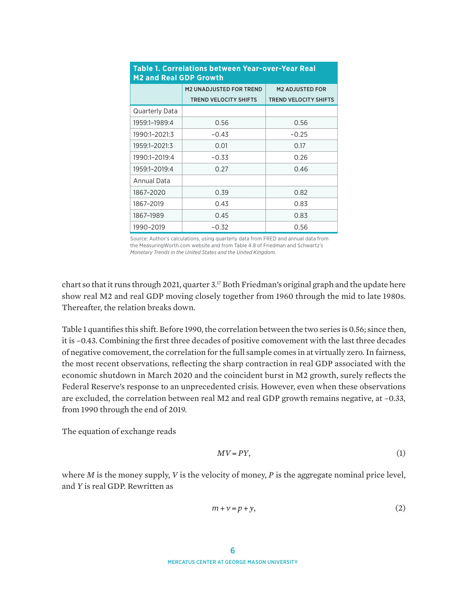| <b>M2 and Real GDP Growth</b> |                                |                              |  |
|-------------------------------|--------------------------------|------------------------------|--|
|                               | <b>M2 UNADJUSTED FOR TREND</b> | <b>M2 ADJUSTED FOR</b>       |  |
|                               | <b>TREND VELOCITY SHIFTS</b>   | <b>TREND VELOCITY SHIFTS</b> |  |
| Quarterly Data                |                                |                              |  |
| 1959:1-1989:4                 | 0.56                           | 0.56                         |  |
| 1990:1-2021:3                 | -0.43                          | $-0.25$                      |  |
| 1959:1-2021:3                 | 0.01                           | 0.17                         |  |
| 1990:1-2019:4                 | $-0.33$                        | 0.26                         |  |
| 1959:1-2019:4                 | 0.27                           | 0.46                         |  |
| Annual Data                   |                                |                              |  |
| 1867-2020                     | 0.39                           | 0.82                         |  |
| 1867-2019                     | 0.43                           | 0.83                         |  |
| 1867-1989                     | 0.45                           | 0.83                         |  |
| 1990-2019                     | -0.32                          | 0.56                         |  |

# **Table 1. Correlations between Year-over-Year Real**

Source: Author's calculations, using quarterly data from FRED and annual data from the MeasuringWorth.com website and from Table 4.8 of Friedman and Schwartz's *Monetary Trends in the United States and the United Kingdom*.

chart so that it runs through 2021, quarter 3.17 Both Friedman's original graph and the update here show real M2 and real GDP moving closely together from 1960 through the mid to late 1980s. Thereafter, the relation breaks down.

Table 1 quantifies this shift. Before 1990, the correlation between the two series is 0.56; since then, it is –0.43. Combining the first three decades of positive comovement with the last three decades of negative comovement, the correlation for the full sample comes in at virtually zero. In fairness, the most recent observations, reflecting the sharp contraction in real GDP associated with the economic shutdown in March 2020 and the coincident burst in M2 growth, surely reflects the Federal Reserve's response to an unprecedented crisis. However, even when these observations are excluded, the correlation between real M2 and real GDP growth remains negative, at –0.33, from 1990 through the end of 2019.

The equation of exchange reads

$$
MV = PY,\tag{1}
$$

where *M* is the money supply, *V* is the velocity of money, *P* is the aggregate nominal price level, and *Y* is real GDP. Rewritten as

$$
m + \nu = p + y,\tag{2}
$$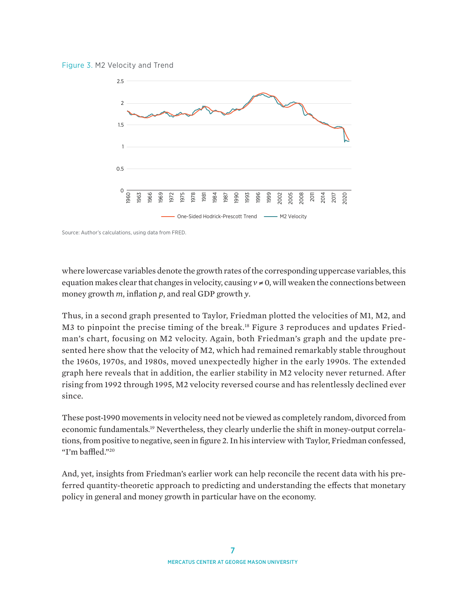



Source: Author's calculations, using data from FRED.

where lowercase variables denote the growth rates of the corresponding uppercase variables, this equation makes clear that changes in velocity, causing  $v \neq 0$ , will weaken the connections between money growth *m*, inflation *p*, and real GDP growth *y*.

Thus, in a second graph presented to Taylor, Friedman plotted the velocities of M1, M2, and M3 to pinpoint the precise timing of the break.<sup>18</sup> Figure 3 reproduces and updates Friedman's chart, focusing on M2 velocity. Again, both Friedman's graph and the update presented here show that the velocity of M2, which had remained remarkably stable throughout the 1960s, 1970s, and 1980s, moved unexpectedly higher in the early 1990s. The extended graph here reveals that in addition, the earlier stability in M2 velocity never returned. After rising from 1992 through 1995, M2 velocity reversed course and has relentlessly declined ever since.

These post-1990 movements in velocity need not be viewed as completely random, divorced from economic fundamentals.19 Nevertheless, they clearly underlie the shift in money-output correlations, from positive to negative, seen in figure 2. In his interview with Taylor, Friedman confessed, "I'm baffled."20

And, yet, insights from Friedman's earlier work can help reconcile the recent data with his preferred quantity-theoretic approach to predicting and understanding the effects that monetary policy in general and money growth in particular have on the economy.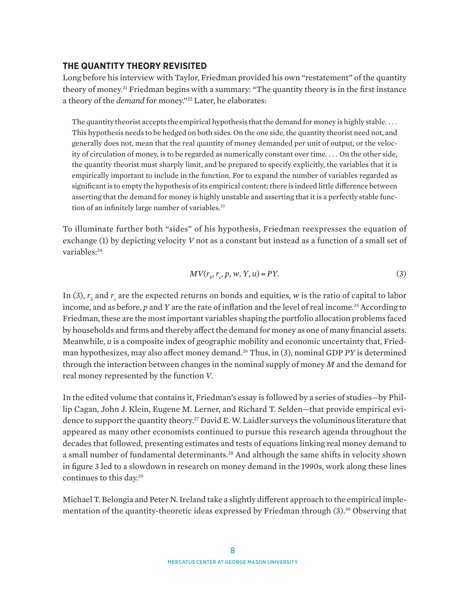#### **THE QUANTITY THEORY REVISITED**

Long before his interview with Taylor, Friedman provided his own "restatement" of the quantity theory of money.21 Friedman begins with a summary: "The quantity theory is in the first instance a theory of the *demand* for money."<sup>22</sup> Later, he elaborates:

The quantity theorist accepts the empirical hypothesis that the demand for money is highly stable. . . . This hypothesis needs to be hedged on both sides. On the one side, the quantity theorist need not, and generally does not, mean that the real quantity of money demanded per unit of output, or the velocity of circulation of money, is to be regarded as numerically constant over time. . . . On the other side, the quantity theorist must sharply limit, and be prepared to specify explicitly, the variables that it is empirically important to include in the function. For to expand the number of variables regarded as significant is to empty the hypothesis of its empirical content; there is indeed little difference between asserting that the demand for money is highly unstable and asserting that it is a perfectly stable function of an infinitely large number of variables.<sup>23</sup>

To illuminate further both "sides" of his hypothesis, Friedman reexpresses the equation of exchange (1) by depicting velocity *V* not as a constant but instead as a function of a small set of variables:<sup>24</sup>

$$
MV(r_{b}, r_{e}, p, w, Y, u) = PY.
$$
\n(3)

In (3),  $r_b$  and  $r_e$  are the expected returns on bonds and equities, *w* is the ratio of capital to labor income, and as before, p and Y are the rate of inflation and the level of real income.<sup>25</sup> According to Friedman, these are the most important variables shaping the portfolio allocation problems faced by households and firms and thereby affect the demand for money as one of many financial assets. Meanwhile, *u* is a composite index of geographic mobility and economic uncertainty that, Friedman hypothesizes, may also affect money demand.26 Thus, in (3), nominal GDP *PY* is determined through the interaction between changes in the nominal supply of money *M* and the demand for real money represented by the function *V*.

In the edited volume that contains it, Friedman's essay is followed by a series of studies—by Phillip Cagan, John J. Klein, Eugene M. Lerner, and Richard T. Selden—that provide empirical evidence to support the quantity theory.27 David E. W. Laidler surveys the voluminous literature that appeared as many other economists continued to pursue this research agenda throughout the decades that followed, presenting estimates and tests of equations linking real money demand to a small number of fundamental determinants.<sup>28</sup> And although the same shifts in velocity shown in figure 3 led to a slowdown in research on money demand in the 1990s, work along these lines continues to this day.29

Michael T. Belongia and Peter N. Ireland take a slightly different approach to the empirical implementation of the quantity-theoretic ideas expressed by Friedman through (3).<sup>30</sup> Observing that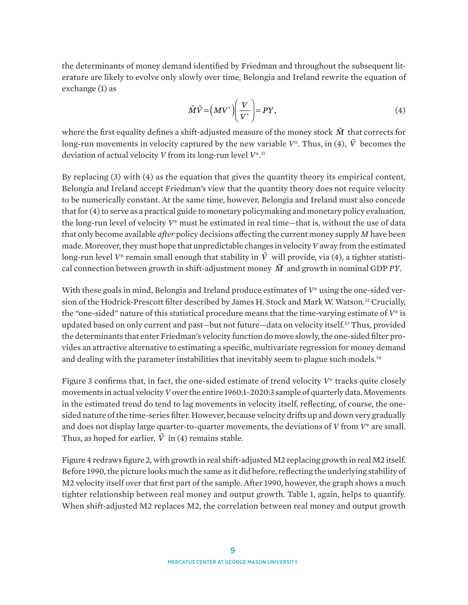the determinants of money demand identified by Friedman and throughout the subsequent literature are likely to evolve only slowly over time, Belongia and Ireland rewrite the equation of exchange (1) as

$$
\tilde{M}\tilde{V} = \left(MV^*\right)\left(\frac{V}{V^*}\right) = PY,\tag{4}
$$

where the first equality defines a shift-adjusted measure of the money stock  $\tilde{M}$  that corrects for long-run movements in velocity captured by the new variable  $V^*$ . Thus, in (4),  $\tilde{V}$  becomes the deviation of actual velocity *V* from its long-run level *V*\*.31

By replacing (3) with (4) as the equation that gives the quantity theory its empirical content, Belongia and Ireland accept Friedman's view that the quantity theory does not require velocity to be numerically constant. At the same time, however, Belongia and Ireland must also concede that for (4) to serve as a practical guide to monetary policymaking and monetary policy evaluation, the long-run level of velocity *V*\* must be estimated in real time—that is, without the use of data that only become available *after* policy decisions affecting the current money supply *M* have been made. Moreover, they must hope that unpredictable changes in velocity *V* away from the estimated long-run level  $V^*$  remain small enough that stability in  $\tilde{V}$  will provide, via (4), a tighter statistical connection between growth in shift-adjustment money *M*! and growth in nominal GDP *PY*.

With these goals in mind, Belongia and Ireland produce estimates of *V*\* using the one-sided version of the Hodrick-Prescott filter described by James H. Stock and Mark W. Watson.<sup>32</sup> Crucially, the "one-sided" nature of this statistical procedure means that the time-varying estimate of *V*\* is updated based on only current and past—but not future—data on velocity itself.33 Thus, provided the determinants that enter Friedman's velocity function do move slowly, the one-sided filter provides an attractive alternative to estimating a specific, multivariate regression for money demand and dealing with the parameter instabilities that inevitably seem to plague such models. $34$ 

Figure 3 confirms that, in fact, the one-sided estimate of trend velocity *V*\* tracks quite closely movements in actual velocity *V* over the entire 1960:1–2020:3 sample of quarterly data. Movements in the estimated trend do tend to lag movements in velocity itself, reflecting, of course, the onesided nature of the time-series filter. However, because velocity drifts up and down very gradually and does not display large quarter-to-quarter movements, the deviations of *V* from *V*\* are small. Thus, as hoped for earlier,  $\tilde{V}$  in (4) remains stable.

Figure 4 redraws figure 2, with growth in real shift-adjusted M2 replacing growth in real M2 itself. Before 1990, the picture looks much the same as it did before, reflecting the underlying stability of M2 velocity itself over that first part of the sample. After 1990, however, the graph shows a much tighter relationship between real money and output growth. Table 1, again, helps to quantify. When shift-adjusted M2 replaces M2, the correlation between real money and output growth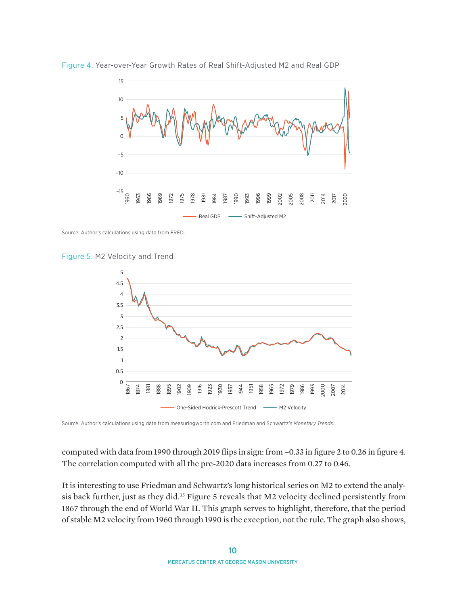

Figure 4. Year-over-Year Growth Rates of Real Shift-Adjusted M2 and Real GDP

Source: Author's calculations using data from FRED.





Source: Author's calculations using data from [measuringworth.com](http://measuringworth.com) and Friedman and Schwartz's *Monetary Trends*.

computed with data from 1990 through 2019 flips in sign: from −0.33 in figure 2 to 0.26 in figure 4. The correlation computed with all the pre-2020 data increases from 0.27 to 0.46.

It is interesting to use Friedman and Schwartz's long historical series on M2 to extend the analysis back further, just as they did.<sup>35</sup> Figure 5 reveals that M2 velocity declined persistently from 1867 through the end of World War II. This graph serves to highlight, therefore, that the period of stable M2 velocity from 1960 through 1990 is the exception, not the rule. The graph also shows,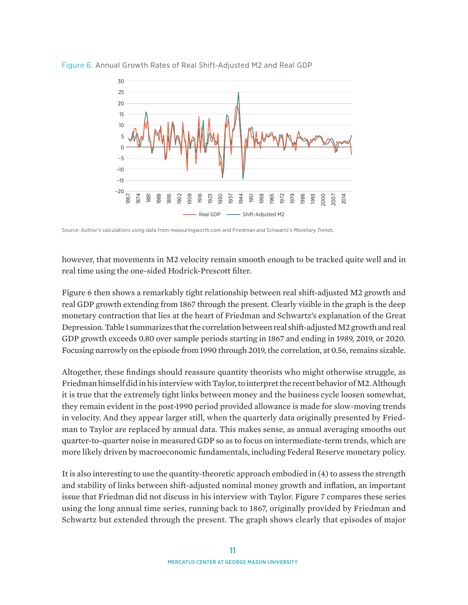

Figure 6. Annual Growth Rates of Real Shift-Adjusted M2 and Real GDP

Source: Author's calculations using data from [measuringworth.com](http://measuringworth.com) and Friedman and Schwartz's *Monetary Trends*.

however, that movements in M2 velocity remain smooth enough to be tracked quite well and in real time using the one-sided Hodrick-Prescott filter.

Figure 6 then shows a remarkably tight relationship between real shift-adjusted M2 growth and real GDP growth extending from 1867 through the present. Clearly visible in the graph is the deep monetary contraction that lies at the heart of Friedman and Schwartz's explanation of the Great Depression. Table 1 summarizes that the correlation between real shift-adjusted M2 growth and real GDP growth exceeds 0.80 over sample periods starting in 1867 and ending in 1989, 2019, or 2020. Focusing narrowly on the episode from 1990 through 2019, the correlation, at 0.56, remains sizable.

Altogether, these findings should reassure quantity theorists who might otherwise struggle, as Friedman himself did in his interview with Taylor, to interpret the recent behavior of M2. Although it is true that the extremely tight links between money and the business cycle loosen somewhat, they remain evident in the post-1990 period provided allowance is made for slow-moving trends in velocity. And they appear larger still, when the quarterly data originally presented by Friedman to Taylor are replaced by annual data. This makes sense, as annual averaging smooths out quarter-to-quarter noise in measured GDP so as to focus on intermediate-term trends, which are more likely driven by macroeconomic fundamentals, including Federal Reserve monetary policy.

It is also interesting to use the quantity-theoretic approach embodied in (4) to assess the strength and stability of links between shift-adjusted nominal money growth and inflation, an important issue that Friedman did not discuss in his interview with Taylor. Figure 7 compares these series using the long annual time series, running back to 1867, originally provided by Friedman and Schwartz but extended through the present. The graph shows clearly that episodes of major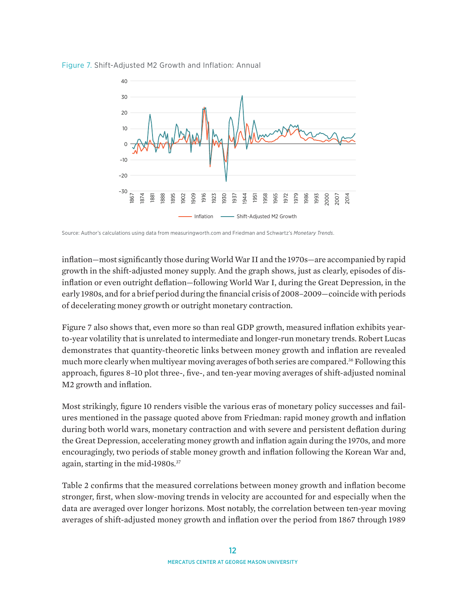



Source: Author's calculations using data from [measuringworth.com](http://measuringworth.com) and Friedman and Schwartz's *Monetary Trends*.

inflation—most significantly those during World War II and the 1970s—are accompanied by rapid growth in the shift-adjusted money supply. And the graph shows, just as clearly, episodes of disinflation or even outright deflation—following World War I, during the Great Depression, in the early 1980s, and for a brief period during the financial crisis of 2008–2009—coincide with periods of decelerating money growth or outright monetary contraction.

Figure 7 also shows that, even more so than real GDP growth, measured inflation exhibits yearto-year volatility that is unrelated to intermediate and longer-run monetary trends. Robert Lucas demonstrates that quantity-theoretic links between money growth and inflation are revealed much more clearly when multiyear moving averages of both series are compared.<sup>36</sup> Following this approach, figures 8–10 plot three-, five-, and ten-year moving averages of shift-adjusted nominal M2 growth and inflation.

Most strikingly, figure 10 renders visible the various eras of monetary policy successes and failures mentioned in the passage quoted above from Friedman: rapid money growth and inflation during both world wars, monetary contraction and with severe and persistent deflation during the Great Depression, accelerating money growth and inflation again during the 1970s, and more encouragingly, two periods of stable money growth and inflation following the Korean War and, again, starting in the mid-1980s.37

Table 2 confirms that the measured correlations between money growth and inflation become stronger, first, when slow-moving trends in velocity are accounted for and especially when the data are averaged over longer horizons. Most notably, the correlation between ten-year moving averages of shift-adjusted money growth and inflation over the period from 1867 through 1989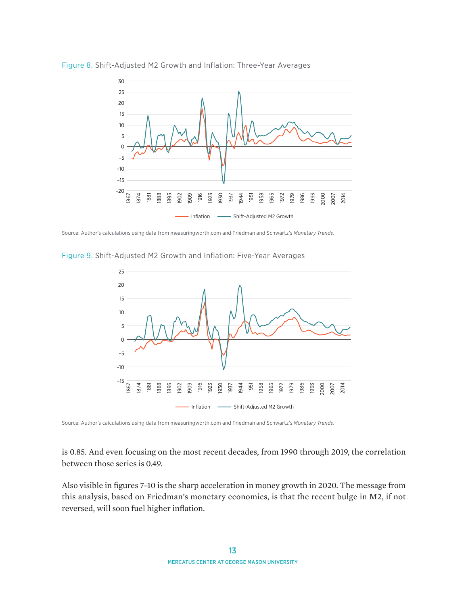

Figure 8. Shift-Adjusted M2 Growth and Inflation: Three-Year Averages

Source: Author's calculations using data from [measuringworth.com](http://measuringworth.com) and Friedman and Schwartz's *Monetary Trends*.

Figure 9. Shift-Adjusted M2 Growth and Inflation: Five-Year Averages



Source: Author's calculations using data from [measuringworth.com](http://measuringworth.com) and Friedman and Schwartz's *Monetary Trends*.

is 0.85. And even focusing on the most recent decades, from 1990 through 2019, the correlation between those series is 0.49.

Also visible in figures 7–10 is the sharp acceleration in money growth in 2020. The message from this analysis, based on Friedman's monetary economics, is that the recent bulge in M2, if not reversed, will soon fuel higher inflation.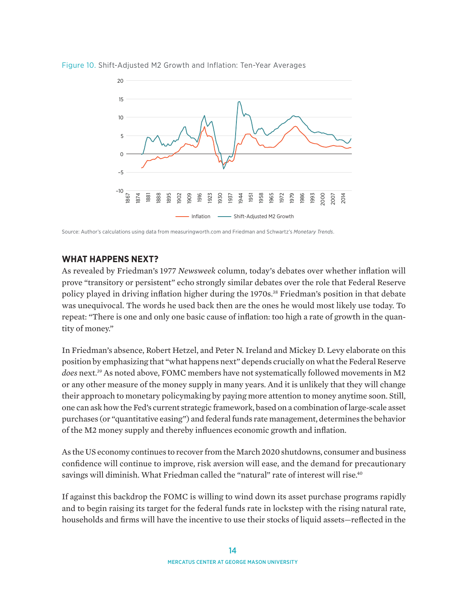

Figure 10. Shift-Adjusted M2 Growth and Inflation: Ten-Year Averages

Source: Author's calculations using data from [measuringworth.com](http://measuringworth.com) and Friedman and Schwartz's *Monetary Trends*.

### **WHAT HAPPENS NEXT?**

As revealed by Friedman's 1977 *Newsweek* column, today's debates over whether inflation will prove "transitory or persistent" echo strongly similar debates over the role that Federal Reserve policy played in driving inflation higher during the 1970s.<sup>38</sup> Friedman's position in that debate was unequivocal. The words he used back then are the ones he would most likely use today. To repeat: "There is one and only one basic cause of inflation: too high a rate of growth in the quantity of money."

In Friedman's absence, Robert Hetzel, and Peter N. Ireland and Mickey D. Levy elaborate on this position by emphasizing that "what happens next" depends crucially on what the Federal Reserve *does* next.39 As noted above, FOMC members have not systematically followed movements in M2 or any other measure of the money supply in many years. And it is unlikely that they will change their approach to monetary policymaking by paying more attention to money anytime soon. Still, one can ask how the Fed's current strategic framework, based on a combination of large-scale asset purchases (or "quantitative easing") and federal funds rate management, determines the behavior of the M2 money supply and thereby influences economic growth and inflation.

As the US economy continues to recover from the March 2020 shutdowns, consumer and business confidence will continue to improve, risk aversion will ease, and the demand for precautionary savings will diminish. What Friedman called the "natural" rate of interest will rise.<sup>40</sup>

If against this backdrop the FOMC is willing to wind down its asset purchase programs rapidly and to begin raising its target for the federal funds rate in lockstep with the rising natural rate, households and firms will have the incentive to use their stocks of liquid assets—reflected in the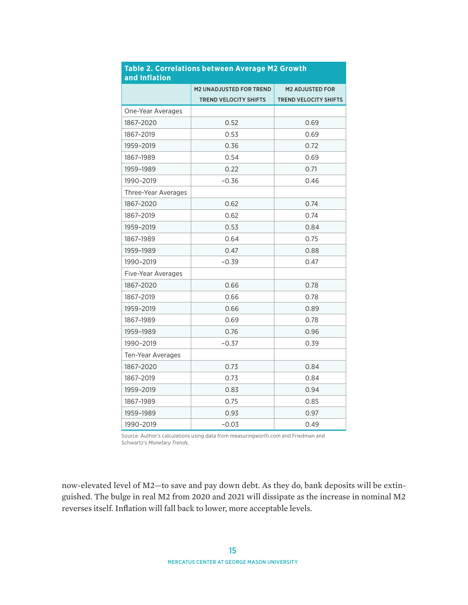| and Inflation       |                                |                              |
|---------------------|--------------------------------|------------------------------|
|                     | <b>M2 UNADJUSTED FOR TREND</b> | <b>M2 ADJUSTED FOR</b>       |
|                     | <b>TREND VELOCITY SHIFTS</b>   | <b>TREND VELOCITY SHIFTS</b> |
| One-Year Averages   |                                |                              |
| 1867-2020           | 0.52                           | 0.69                         |
| 1867-2019           | 0.53                           | 0.69                         |
| 1959-2019           | 0.36                           | 0.72                         |
| 1867-1989           | 0.54                           | 0.69                         |
| 1959-1989           | 0.22                           | 0.71                         |
| 1990-2019           | $-0.36$                        | 0.46                         |
| Three-Year Averages |                                |                              |
| 1867-2020           | 0.62                           | 0.74                         |
| 1867-2019           | 0.62                           | 0.74                         |
| 1959-2019           | 0.53                           | 0.84                         |
| 1867-1989           | 0.64                           | 0.75                         |
| 1959-1989           | 0.47                           | 0.88                         |
| 1990-2019           | $-0.39$                        | 0.47                         |
| Five-Year Averages  |                                |                              |
| 1867-2020           | 0.66                           | 0.78                         |
| 1867-2019           | 0.66                           | 0.78                         |
| 1959-2019           | 0.66                           | 0.89                         |
| 1867-1989           | 0.69                           | 0.78                         |
| 1959-1989           | 0.76                           | 0.96                         |
| 1990-2019           | $-0.37$                        | 0.39                         |
| Ten-Year Averages   |                                |                              |
| 1867-2020           | 0.73                           | 0.84                         |
| 1867-2019           | 0.73                           | 0.84                         |
| 1959-2019           | 0.83                           | 0.94                         |
| 1867-1989           | 0.75                           | 0.85                         |
| 1959-1989           | 0.93                           | 0.97                         |
| 1990-2019           | $-0.03$                        | 0.49                         |

# **Table 2. Correlations between Average M2 Growth**

Source: Author's calculations using data from [measuringworth.com](http://measuringworth.com) and Friedman and Schwartz's *Monetary Trends*.

now-elevated level of M2—to save and pay down debt. As they do, bank deposits will be extinguished. The bulge in real M2 from 2020 and 2021 will dissipate as the increase in nominal M2 reverses itself. Inflation will fall back to lower, more acceptable levels.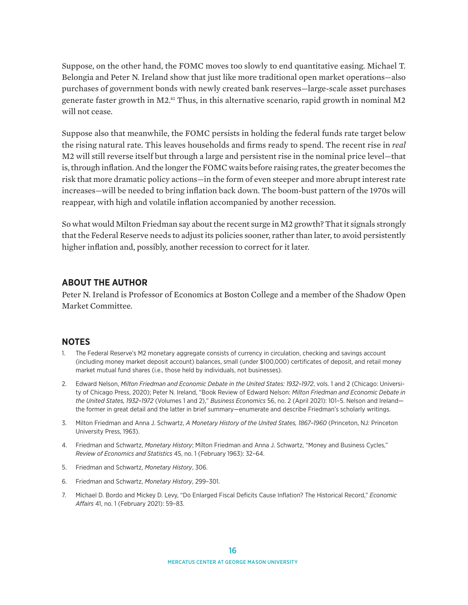Suppose, on the other hand, the FOMC moves too slowly to end quantitative easing. Michael T. Belongia and Peter N. Ireland show that just like more traditional open market operations—also purchases of government bonds with newly created bank reserves—large-scale asset purchases generate faster growth in M2.41 Thus, in this alternative scenario, rapid growth in nominal M2 will not cease.

Suppose also that meanwhile, the FOMC persists in holding the federal funds rate target below the rising natural rate. This leaves households and firms ready to spend. The recent rise in *real* M2 will still reverse itself but through a large and persistent rise in the nominal price level—that is, through inflation. And the longer the FOMC waits before raising rates, the greater becomes the risk that more dramatic policy actions—in the form of even steeper and more abrupt interest rate increases—will be needed to bring inflation back down. The boom-bust pattern of the 1970s will reappear, with high and volatile inflation accompanied by another recession.

So what would Milton Friedman say about the recent surge in M2 growth? That it signals strongly that the Federal Reserve needs to adjust its policies sooner, rather than later, to avoid persistently higher inflation and, possibly, another recession to correct for it later.

## **ABOUT THE AUTHOR**

Peter N. Ireland is Professor of Economics at Boston College and a member of the Shadow Open Market Committee.

#### **NOTES**

- 1. The Federal Reserve's M2 monetary aggregate consists of currency in circulation, checking and savings account (including money market deposit account) balances, small (under \$100,000) certificates of deposit, and retail money market mutual fund shares (i.e., those held by individuals, not businesses).
- 2. Edward Nelson, *Milton Friedman and Economic Debate in the United States: 1932–1972*, vols. 1 and 2 (Chicago: University of Chicago Press, 2020); Peter N. Ireland, "Book Review of Edward Nelson: *Milton Friedman and Economic Debate in the United States, 1932–1972* (Volumes 1 and 2)," *Business Economics* 56, no. 2 (April 2021): 101–5. Nelson and Ireland the former in great detail and the latter in brief summary—enumerate and describe Friedman's scholarly writings.
- 3. Milton Friedman and Anna J. Schwartz, *A Monetary History of the United States, 1867–1960* (Princeton, NJ: Princeton University Press, 1963).
- 4. Friedman and Schwartz, *Monetary History*; Milton Friedman and Anna J. Schwartz, "Money and Business Cycles," *Review of Economics and Statistics* 45, no. 1 (February 1963): 32–64.
- 5. Friedman and Schwartz, *Monetary History*, 306.
- 6. Friedman and Schwartz, *Monetary History*, 299–301.
- 7. Michael D. Bordo and Mickey D. Levy, "Do Enlarged Fiscal Deficits Cause Inflation? The Historical Record," *Economic Affairs* 41, no. 1 (February 2021): 59–83.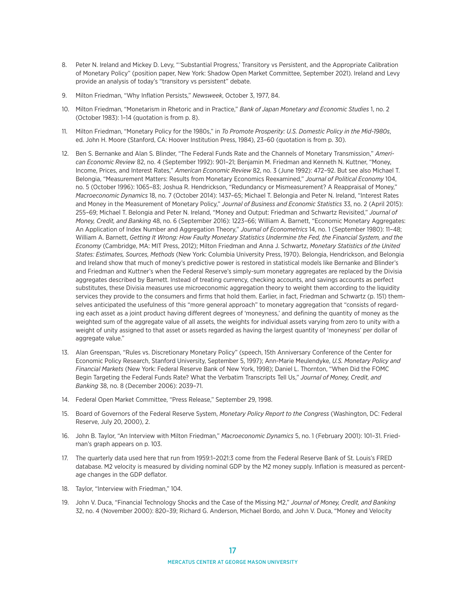- 8. Peter N. Ireland and Mickey D. Levy, "Substantial Progress,' Transitory vs Persistent, and the Appropriate Calibration of Monetary Policy" (position paper, New York: Shadow Open Market Committee, September 2021). Ireland and Levy provide an analysis of today's "transitory vs persistent" debate.
- 9. Milton Friedman, "Why Inflation Persists," *Newsweek*, October 3, 1977, 84.
- 10. Milton Friedman, "Monetarism in Rhetoric and in Practice," *Bank of Japan Monetary and Economic Studies* 1, no. 2 (October 1983): 1–14 (quotation is from p. 8).
- 11. Milton Friedman, "Monetary Policy for the 1980s," in *To Promote Prosperity: U.S. Domestic Policy in the Mid-1980s*, ed. John H. Moore (Stanford, CA: Hoover Institution Press, 1984), 23–60 (quotation is from p. 30).
- 12. Ben S. Bernanke and Alan S. Blinder, "The Federal Funds Rate and the Channels of Monetary Transmission," *American Economic Review* 82, no. 4 (September 1992): 901–21; Benjamin M. Friedman and Kenneth N. Kuttner, "Money, Income, Prices, and Interest Rates," *American Economic Review* 82, no. 3 (June 1992): 472–92. But see also Michael T. Belongia, "Measurement Matters: Results from Monetary Economics Reexamined," *Journal of Political Economy* 104, no. 5 (October 1996): 1065–83; Joshua R. Hendrickson, "Redundancy or Mismeasurement? A Reappraisal of Money," *Macroeconomic Dynamics* 18, no. 7 (October 2014): 1437–65; Michael T. Belongia and Peter N. Ireland, "Interest Rates and Money in the Measurement of Monetary Policy," *Journal of Business and Economic Statistics* 33, no. 2 (April 2015): 255–69; Michael T. Belongia and Peter N. Ireland, "Money and Output: Friedman and Schwartz Revisited," *Journal of Money, Credit, and Banking* 48, no. 6 (September 2016): 1223–66; William A. Barnett, "Economic Monetary Aggregates: An Application of Index Number and Aggregation Theory," *Journal of Econometrics* 14, no. 1 (September 1980): 11–48; William A. Barnett, *Getting It Wrong: How Faulty Monetary Statistics Undermine the Fed, the Financial System, and the Economy* (Cambridge, MA: MIT Press, 2012); Milton Friedman and Anna J. Schwartz, *Monetary Statistics of the United States: Estimates, Sources, Methods* (New York: Columbia University Press, 1970). Belongia, Hendrickson, and Belongia and Ireland show that much of money's predictive power is restored in statistical models like Bernanke and Blinder's and Friedman and Kuttner's when the Federal Reserve's simply-sum monetary aggregates are replaced by the Divisia aggregates described by Barnett. Instead of treating currency, checking accounts, and savings accounts as perfect substitutes, these Divisia measures use microeconomic aggregation theory to weight them according to the liquidity services they provide to the consumers and firms that hold them. Earlier, in fact, Friedman and Schwartz (p. 151) themselves anticipated the usefulness of this "more general approach" to monetary aggregation that "consists of regarding each asset as a joint product having diferent degrees of 'moneyness,' and defining the quantity of money as the weighted sum of the aggregate value of all assets, the weights for individual assets varying from zero to unity with a weight of unity assigned to that asset or assets regarded as having the largest quantity of 'moneyness' per dollar of aggregate value."
- 13. Alan Greenspan, "Rules vs. Discretionary Monetary Policy" (speech, 15th Anniversary Conference of the Center for Economic Policy Research, Stanford University, September 5, 1997); Ann-Marie Meulendyke, *U.S. Monetary Policy and Financial Markets* (New York: Federal Reserve Bank of New York, 1998); Daniel L. Thornton, "When Did the FOMC Begin Targeting the Federal Funds Rate? What the Verbatim Transcripts Tell Us," *Journal of Money, Credit, and Banking* 38, no. 8 (December 2006): 2039–71.
- 14. Federal Open Market Committee, "Press Release," September 29, 1998.
- 15. Board of Governors of the Federal Reserve System, *Monetary Policy Report to the Congress* (Washington, DC: Federal Reserve, July 20, 2000), 2.
- 16. John B. Taylor, "An Interview with Milton Friedman," *Macroeconomic Dynamics* 5, no. 1 (February 2001): 101–31. Friedman's graph appears on p. 103.
- 17. The quarterly data used here that run from 1959:1–2021:3 come from the Federal Reserve Bank of St. Louis's FRED database. M2 velocity is measured by dividing nominal GDP by the M2 money supply. Inflation is measured as percentage changes in the GDP deflator.
- 18. Taylor, "Interview with Friedman," 104.
- 19. John V. Duca, "Financial Technology Shocks and the Case of the Missing M2," *Journal of Money, Credit, and Banking* 32, no. 4 (November 2000): 820–39; Richard G. Anderson, Michael Bordo, and John V. Duca, "Money and Velocity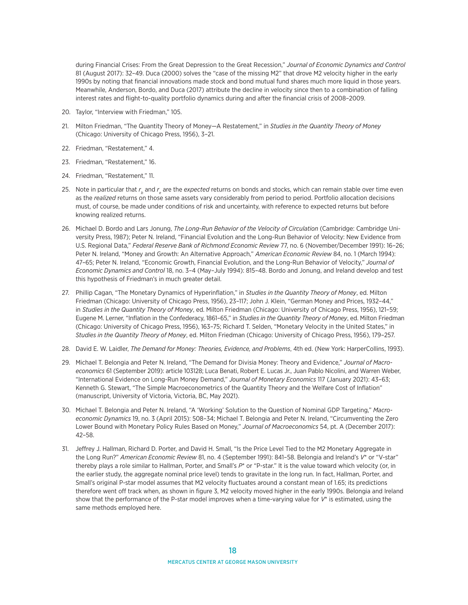during Financial Crises: From the Great Depression to the Great Recession," *Journal of Economic Dynamics and Control* 81 (August 2017): 32–49. Duca (2000) solves the "case of the missing M2" that drove M2 velocity higher in the early 1990s by noting that financial innovations made stock and bond mutual fund shares much more liquid in those years. Meanwhile, Anderson, Bordo, and Duca (2017) attribute the decline in velocity since then to a combination of falling interest rates and flight-to-quality portfolio dynamics during and after the financial crisis of 2008–2009.

- 20. Taylor, "Interview with Friedman," 105.
- 21. Milton Friedman, "The Quantity Theory of Money—A Restatement," in *Studies in the Quantity Theory of Money* (Chicago: University of Chicago Press, 1956), 3–21.
- 22. Friedman, "Restatement," 4.
- 23. Friedman, "Restatement," 16.
- 24. Friedman, "Restatement," 11.
- 25. Note in particular that  $r_{_b}$  and  $r_{_{e}}$  are the *expected* returns on bonds and stocks, which can remain stable over time even as the *realized* returns on those same assets vary considerably from period to period. Portfolio allocation decisions must, of course, be made under conditions of risk and uncertainty, with reference to expected returns but before knowing realized returns.
- 26. Michael D. Bordo and Lars Jonung, *The Long-Run Behavior of the Velocity of Circulation* (Cambridge: Cambridge University Press, 1987); Peter N. Ireland, "Financial Evolution and the Long-Run Behavior of Velocity: New Evidence from U.S. Regional Data," *Federal Reserve Bank of Richmond Economic Review* 77, no. 6 (November/December 1991): 16–26; Peter N. Ireland, "Money and Growth: An Alternative Approach," *American Economic Review* 84, no. 1 (March 1994): 47–65; Peter N. Ireland, "Economic Growth, Financial Evolution, and the Long-Run Behavior of Velocity," *Journal of Economic Dynamics and Control* 18, no. 3–4 (May–July 1994): 815–48. Bordo and Jonung, and Ireland develop and test this hypothesis of Friedman's in much greater detail.
- 27. Phillip Cagan, "The Monetary Dynamics of Hyperinflation," in *Studies in the Quantity Theory of Money*, ed. Milton Friedman (Chicago: University of Chicago Press, 1956), 23–117; John J. Klein, "German Money and Prices, 1932–44," in *Studies in the Quantity Theory of Money*, ed. Milton Friedman (Chicago: University of Chicago Press, 1956), 121–59; Eugene M. Lerner, "Inflation in the Confederacy, 1861–65," in *Studies in the Quantity Theory of Money*, ed. Milton Friedman (Chicago: University of Chicago Press, 1956), 163–75; Richard T. Selden, "Monetary Velocity in the United States," in *Studies in the Quantity Theory of Money*, ed. Milton Friedman (Chicago: University of Chicago Press, 1956), 179–257.
- 28. David E. W. Laidler, *The Demand for Money: Theories, Evidence, and Problems*, 4th ed. (New York: HarperCollins, 1993).
- 29. Michael T. Belongia and Peter N. Ireland, "The Demand for Divisia Money: Theory and Evidence," *Journal of Macroeconomics* 61 (September 2019): article 103128; Luca Benati, Robert E. Lucas Jr., Juan Pablo Nicolini, and Warren Weber, "International Evidence on Long-Run Money Demand," *Journal of Monetary Economics* 117 (January 2021): 43–63; Kenneth G. Stewart, "The Simple Macroeconometrics of the Quantity Theory and the Welfare Cost of Inflation" (manuscript, University of Victoria, Victoria, BC, May 2021).
- 30. Michael T. Belongia and Peter N. Ireland, "A 'Working' Solution to the Question of Nominal GDP Targeting," *Macroeconomic Dynamics* 19, no. 3 (April 2015): 508–34; Michael T. Belongia and Peter N. Ireland, "Circumventing the Zero Lower Bound with Monetary Policy Rules Based on Money," *Journal of Macroeconomics* 54, pt. A (December 2017): 42–58.
- 31. Jeffrey J. Hallman, Richard D. Porter, and David H. Small, "Is the Price Level Tied to the M2 Monetary Aggregate in the Long Run?" *American Economic Review* 81, no. 4 (September 1991): 841–58. Belongia and Ireland's *V*\* or "V-star" thereby plays a role similar to Hallman, Porter, and Small's *P*\* or "P-star." It is the value toward which velocity (or, in the earlier study, the aggregate nominal price level) tends to gravitate in the long run. In fact, Hallman, Porter, and Small's original P-star model assumes that M2 velocity fluctuates around a constant mean of 1.65; its predictions therefore went off track when, as shown in figure 3, M2 velocity moved higher in the early 1990s. Belongia and Ireland show that the performance of the P-star model improves when a time-varying value for *V*\* is estimated, using the same methods employed here.